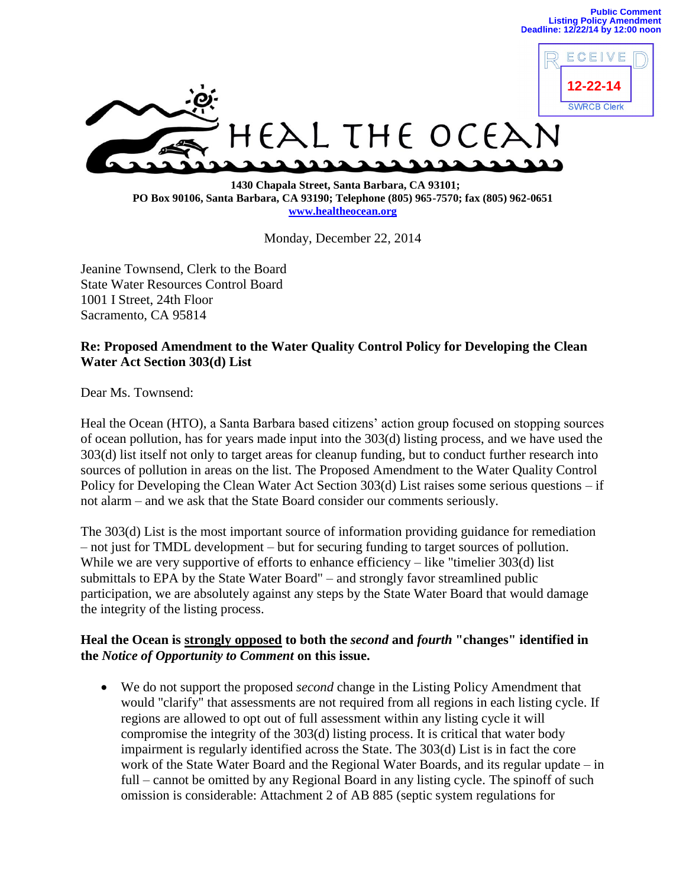ECEIVE



 **1430 Chapala Street, Santa Barbara, CA 93101; PO Box 90106, Santa Barbara, CA 93190; Telephone (805) 965-7570; fax (805) 962-0651 [www.healtheocean.org](http://www.healtheocean.org/)**

Monday, December 22, 2014

Jeanine Townsend, Clerk to the Board State Water Resources Control Board 1001 I Street, 24th Floor Sacramento, CA 95814

## **Re: Proposed Amendment to the Water Quality Control Policy for Developing the Clean Water Act Section 303(d) List**

Dear Ms. Townsend:

Heal the Ocean (HTO), a Santa Barbara based citizens' action group focused on stopping sources of ocean pollution, has for years made input into the 303(d) listing process, and we have used the 303(d) list itself not only to target areas for cleanup funding, but to conduct further research into sources of pollution in areas on the list. The Proposed Amendment to the Water Quality Control Policy for Developing the Clean Water Act Section 303(d) List raises some serious questions – if not alarm – and we ask that the State Board consider our comments seriously.

The 303(d) List is the most important source of information providing guidance for remediation – not just for TMDL development – but for securing funding to target sources of pollution. While we are very supportive of efforts to enhance efficiency – like "timelier 303(d) list submittals to EPA by the State Water Board" – and strongly favor streamlined public participation, we are absolutely against any steps by the State Water Board that would damage the integrity of the listing process.

## **Heal the Ocean is strongly opposed to both the** *second* **and** *fourth* **"changes" identified in the** *Notice of Opportunity to Comment* **on this issue.**

 We do not support the proposed *second* change in the Listing Policy Amendment that would "clarify" that assessments are not required from all regions in each listing cycle. If regions are allowed to opt out of full assessment within any listing cycle it will compromise the integrity of the 303(d) listing process. It is critical that water body impairment is regularly identified across the State. The 303(d) List is in fact the core work of the State Water Board and the Regional Water Boards, and its regular update – in full – cannot be omitted by any Regional Board in any listing cycle. The spinoff of such omission is considerable: Attachment 2 of AB 885 (septic system regulations for